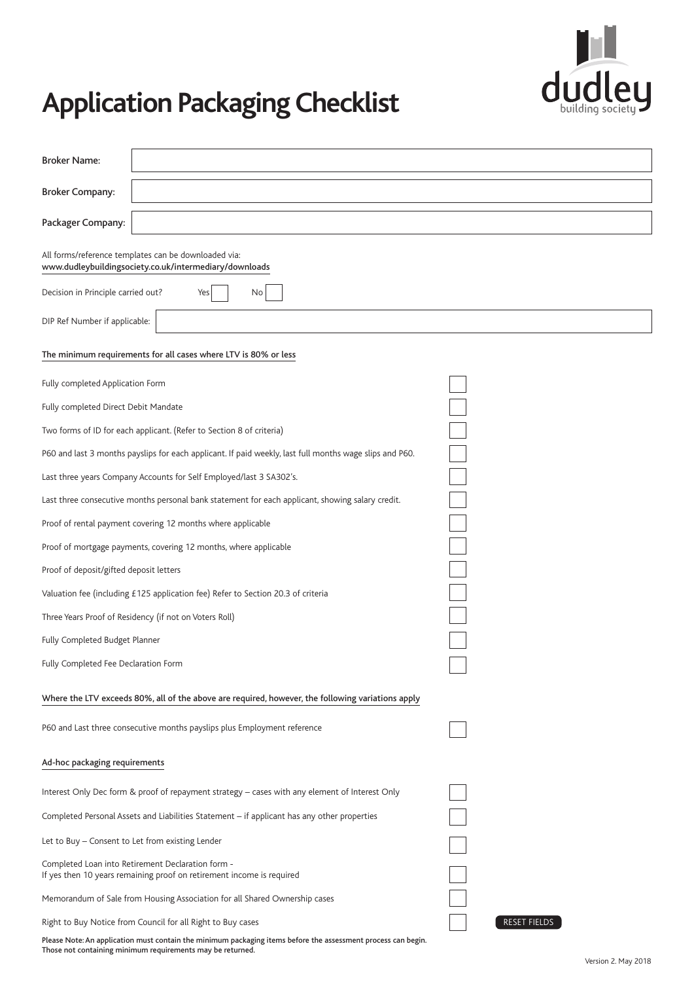

# **Application Packaging Checklist**

| <b>Broker Name:</b>                              |                                                                                                                                                                                 |                     |
|--------------------------------------------------|---------------------------------------------------------------------------------------------------------------------------------------------------------------------------------|---------------------|
| <b>Broker Company:</b>                           |                                                                                                                                                                                 |                     |
| Packager Company:                                |                                                                                                                                                                                 |                     |
|                                                  | All forms/reference templates can be downloaded via:<br>www.dudleybuildingsociety.co.uk/intermediary/downloads                                                                  |                     |
| Decision in Principle carried out?               | No<br>Yes                                                                                                                                                                       |                     |
| DIP Ref Number if applicable:                    |                                                                                                                                                                                 |                     |
|                                                  | The minimum requirements for all cases where LTV is 80% or less                                                                                                                 |                     |
| Fully completed Application Form                 |                                                                                                                                                                                 |                     |
| Fully completed Direct Debit Mandate             |                                                                                                                                                                                 |                     |
|                                                  |                                                                                                                                                                                 |                     |
|                                                  | Two forms of ID for each applicant. (Refer to Section 8 of criteria)<br>P60 and last 3 months payslips for each applicant. If paid weekly, last full months wage slips and P60. |                     |
|                                                  | Last three years Company Accounts for Self Employed/last 3 SA302's.                                                                                                             |                     |
|                                                  | Last three consecutive months personal bank statement for each applicant, showing salary credit.                                                                                |                     |
|                                                  | Proof of rental payment covering 12 months where applicable                                                                                                                     |                     |
|                                                  | Proof of mortgage payments, covering 12 months, where applicable                                                                                                                |                     |
| Proof of deposit/gifted deposit letters          |                                                                                                                                                                                 |                     |
|                                                  |                                                                                                                                                                                 |                     |
|                                                  | Valuation fee (including £125 application fee) Refer to Section 20.3 of criteria                                                                                                |                     |
|                                                  | Three Years Proof of Residency (if not on Voters Roll)                                                                                                                          |                     |
| Fully Completed Budget Planner                   |                                                                                                                                                                                 |                     |
| Fully Completed Fee Declaration Form             |                                                                                                                                                                                 |                     |
|                                                  | Where the LTV exceeds 80%, all of the above are required, however, the following variations apply                                                                               |                     |
|                                                  | P60 and Last three consecutive months payslips plus Employment reference                                                                                                        |                     |
| Ad-hoc packaging requirements                    |                                                                                                                                                                                 |                     |
|                                                  | Interest Only Dec form & proof of repayment strategy - cases with any element of Interest Only                                                                                  |                     |
|                                                  | Completed Personal Assets and Liabilities Statement – if applicant has any other properties                                                                                     |                     |
| Let to Buy – Consent to Let from existing Lender |                                                                                                                                                                                 |                     |
|                                                  | Completed Loan into Retirement Declaration form -<br>If yes then 10 years remaining proof on retirement income is required                                                      |                     |
|                                                  | Memorandum of Sale from Housing Association for all Shared Ownership cases                                                                                                      |                     |
|                                                  | Right to Buy Notice from Council for all Right to Buy cases                                                                                                                     | <b>RESET FIELDS</b> |
|                                                  | Please Note: An application must contain the minimum packaging items before the assessment process can begin.<br>Those not containing minimum requirements may be returned.     |                     |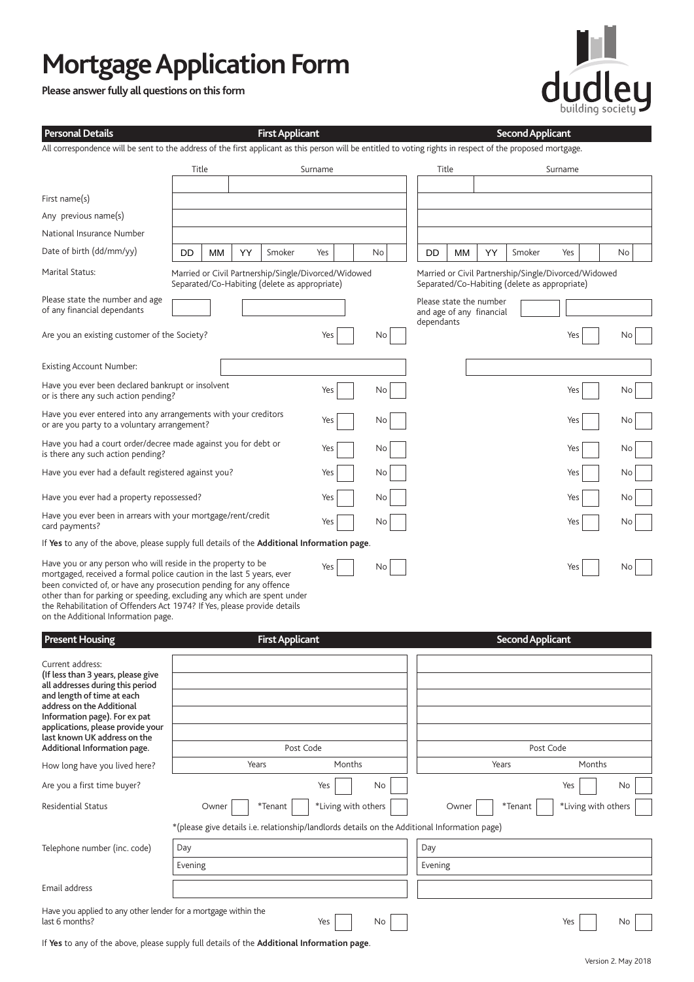# **Mortgage Application Form**

**Please answer fully all questions on this form**



| <b>Personal Details</b>                                                                                                                                                                                                                                                                                                                                                                                   |                 |       |    | <b>First Applicant</b>                                                                                   |           |                     |    |            |       |                                                     |  | <b>Second Applicant</b>                       |                                                      |     |
|-----------------------------------------------------------------------------------------------------------------------------------------------------------------------------------------------------------------------------------------------------------------------------------------------------------------------------------------------------------------------------------------------------------|-----------------|-------|----|----------------------------------------------------------------------------------------------------------|-----------|---------------------|----|------------|-------|-----------------------------------------------------|--|-----------------------------------------------|------------------------------------------------------|-----|
| All correspondence will be sent to the address of the first applicant as this person will be entitled to voting rights in respect of the proposed mortgage.                                                                                                                                                                                                                                               |                 |       |    |                                                                                                          |           |                     |    |            |       |                                                     |  |                                               |                                                      |     |
|                                                                                                                                                                                                                                                                                                                                                                                                           | Title           |       |    |                                                                                                          | Surname   |                     |    |            | Title |                                                     |  |                                               | Surname                                              |     |
| First name(s)                                                                                                                                                                                                                                                                                                                                                                                             |                 |       |    |                                                                                                          |           |                     |    |            |       |                                                     |  |                                               |                                                      |     |
| Any previous name(s)                                                                                                                                                                                                                                                                                                                                                                                      |                 |       |    |                                                                                                          |           |                     |    |            |       |                                                     |  |                                               |                                                      |     |
| National Insurance Number                                                                                                                                                                                                                                                                                                                                                                                 |                 |       |    |                                                                                                          |           |                     |    |            |       |                                                     |  |                                               |                                                      |     |
| Date of birth (dd/mm/yy)                                                                                                                                                                                                                                                                                                                                                                                  | DD              | МM    | YY | Smoker                                                                                                   | Yes       |                     | No | DD         | MМ    | YY                                                  |  | Smoker                                        | Yes                                                  | No  |
| Marital Status:                                                                                                                                                                                                                                                                                                                                                                                           |                 |       |    | Married or Civil Partnership/Single/Divorced/Widowed<br>Separated/Co-Habiting (delete as appropriate)    |           |                     |    |            |       |                                                     |  | Separated/Co-Habiting (delete as appropriate) | Married or Civil Partnership/Single/Divorced/Widowed |     |
| Please state the number and age<br>of any financial dependants                                                                                                                                                                                                                                                                                                                                            |                 |       |    |                                                                                                          |           |                     |    | dependants |       | Please state the number<br>and age of any financial |  |                                               |                                                      |     |
| Are you an existing customer of the Society?                                                                                                                                                                                                                                                                                                                                                              |                 |       |    |                                                                                                          | Yes       |                     | No |            |       |                                                     |  |                                               | Yes                                                  | No. |
| <b>Existing Account Number:</b>                                                                                                                                                                                                                                                                                                                                                                           |                 |       |    |                                                                                                          |           |                     |    |            |       |                                                     |  |                                               |                                                      |     |
| Have you ever been declared bankrupt or insolvent<br>or is there any such action pending?                                                                                                                                                                                                                                                                                                                 |                 |       |    |                                                                                                          | Yes       |                     | No |            |       |                                                     |  |                                               | Yes                                                  | No  |
| Have you ever entered into any arrangements with your creditors<br>or are you party to a voluntary arrangement?                                                                                                                                                                                                                                                                                           |                 |       |    |                                                                                                          | Yes       |                     | No |            |       |                                                     |  |                                               | Yes                                                  | No  |
| Have you had a court order/decree made against you for debt or<br>is there any such action pending?                                                                                                                                                                                                                                                                                                       |                 |       |    |                                                                                                          | Yes       |                     | No |            |       |                                                     |  |                                               | Yes                                                  | No  |
| Have you ever had a default registered against you?                                                                                                                                                                                                                                                                                                                                                       |                 |       |    |                                                                                                          | Yes       |                     | No |            |       |                                                     |  |                                               | Yes                                                  | No  |
| Have you ever had a property repossessed?                                                                                                                                                                                                                                                                                                                                                                 |                 |       |    |                                                                                                          | Yes       |                     | No |            |       |                                                     |  |                                               | Yes                                                  | No  |
| Have you ever been in arrears with your mortgage/rent/credit<br>card payments?                                                                                                                                                                                                                                                                                                                            |                 |       |    |                                                                                                          | Yes       |                     | No |            |       |                                                     |  |                                               | Yes                                                  | No  |
| If Yes to any of the above, please supply full details of the Additional Information page.                                                                                                                                                                                                                                                                                                                |                 |       |    |                                                                                                          |           |                     |    |            |       |                                                     |  |                                               |                                                      |     |
| Have you or any person who will reside in the property to be<br>mortgaged, received a formal police caution in the last 5 years, ever<br>been convicted of, or have any prosecution pending for any offence<br>other than for parking or speeding, excluding any which are spent under<br>the Rehabilitation of Offenders Act 1974? If Yes, please provide details<br>on the Additional Information page. |                 |       |    |                                                                                                          | Yes       |                     | No |            |       |                                                     |  |                                               | Yes                                                  | No  |
| <b>Present Housing</b>                                                                                                                                                                                                                                                                                                                                                                                    |                 |       |    | <b>First Applicant</b>                                                                                   |           |                     |    |            |       |                                                     |  | <b>Second Applicant</b>                       |                                                      |     |
| Current address:<br>(If less than 3 years, please give<br>all addresses during this period<br>and length of time at each<br>address on the Additional<br>Information page). For ex pat<br>applications, please provide your<br>last known UK address on the<br>Additional Information page.                                                                                                               |                 |       |    |                                                                                                          | Post Code |                     |    |            |       |                                                     |  | Post Code                                     |                                                      |     |
| How long have you lived here?                                                                                                                                                                                                                                                                                                                                                                             | Months<br>Years |       |    |                                                                                                          |           |                     |    | Years      |       | Months                                              |  |                                               |                                                      |     |
| Are you a first time buyer?                                                                                                                                                                                                                                                                                                                                                                               |                 |       |    |                                                                                                          | Yes       |                     | No |            |       |                                                     |  |                                               | Yes                                                  | No  |
|                                                                                                                                                                                                                                                                                                                                                                                                           |                 |       |    |                                                                                                          |           |                     |    |            |       |                                                     |  |                                               |                                                      |     |
| <b>Residential Status</b>                                                                                                                                                                                                                                                                                                                                                                                 |                 | Owner |    | *Tenant<br>*(please give details i.e. relationship/landlords details on the Additional Information page) |           | *Living with others |    |            | Owner |                                                     |  | *Tenant                                       | *Living with others                                  |     |
| Telephone number (inc. code)                                                                                                                                                                                                                                                                                                                                                                              | Day             |       |    |                                                                                                          |           |                     |    | Day        |       |                                                     |  |                                               |                                                      |     |
|                                                                                                                                                                                                                                                                                                                                                                                                           | Evening         |       |    |                                                                                                          |           |                     |    | Evening    |       |                                                     |  |                                               |                                                      |     |
| Email address                                                                                                                                                                                                                                                                                                                                                                                             |                 |       |    |                                                                                                          |           |                     |    |            |       |                                                     |  |                                               |                                                      |     |

Have you applied to any other lender for a mortgage within the last 6 months?

If **Yes** to any of the above, please supply full details of the **Additional Information page**.

Yes No No No Yes No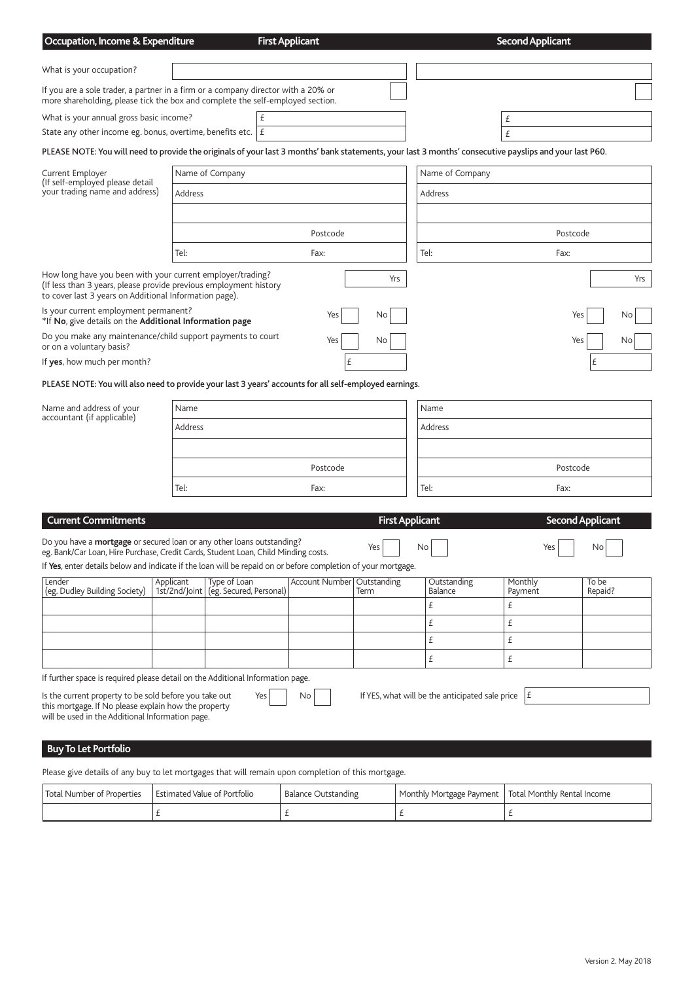| Occupation, Income & Expenditure                                                                                                                                                          |                            |                                         | <b>First Applicant</b> |                        |                                                 | <b>Second Applicant</b> |                         |  |
|-------------------------------------------------------------------------------------------------------------------------------------------------------------------------------------------|----------------------------|-----------------------------------------|------------------------|------------------------|-------------------------------------------------|-------------------------|-------------------------|--|
|                                                                                                                                                                                           |                            |                                         |                        |                        |                                                 |                         |                         |  |
| What is your occupation?                                                                                                                                                                  |                            |                                         |                        |                        |                                                 |                         |                         |  |
| If you are a sole trader, a partner in a firm or a company director with a 20% or<br>more shareholding, please tick the box and complete the self-employed section.                       |                            |                                         |                        |                        |                                                 |                         |                         |  |
| What is your annual gross basic income?                                                                                                                                                   |                            | £                                       |                        |                        |                                                 | £                       |                         |  |
| State any other income eg. bonus, overtime, benefits etc. $ E $                                                                                                                           |                            |                                         |                        |                        |                                                 | £                       |                         |  |
| PLEASE NOTE: You will need to provide the originals of your last 3 months' bank statements, your last 3 months' consecutive payslips and your last P60.                                   |                            |                                         |                        |                        |                                                 |                         |                         |  |
| Current Employer                                                                                                                                                                          |                            | Name of Company                         |                        |                        | Name of Company                                 |                         |                         |  |
| (If self-employed please detail)<br>your trading name and address)                                                                                                                        | Address                    |                                         |                        |                        | Address                                         |                         |                         |  |
|                                                                                                                                                                                           |                            |                                         |                        |                        |                                                 |                         |                         |  |
|                                                                                                                                                                                           |                            |                                         | Postcode               |                        |                                                 |                         | Postcode                |  |
|                                                                                                                                                                                           | Tel:                       |                                         | Fax:                   |                        | Tel:                                            | Fax:                    |                         |  |
| How long have you been with your current employer/trading?<br>(If less than 3 years, please provide previous employment history<br>to cover last 3 years on Additional Information page). |                            |                                         |                        | Yrs                    |                                                 |                         | Yrs                     |  |
| Is your current employment permanent?<br>*If No, give details on the Additional Information page                                                                                          |                            |                                         | Yes                    | No.                    |                                                 |                         | Yes<br>No               |  |
| Do you make any maintenance/child support payments to court<br>or on a voluntary basis?                                                                                                   |                            |                                         | Yes                    | No                     |                                                 |                         | Yes<br>No               |  |
| If yes, how much per month?                                                                                                                                                               |                            |                                         | £                      |                        |                                                 |                         | £                       |  |
| PLEASE NOTE: You will also need to provide your last 3 years' accounts for all self-employed earnings.                                                                                    |                            |                                         |                        |                        |                                                 |                         |                         |  |
| Name and address of your                                                                                                                                                                  | Name                       |                                         |                        |                        | Name                                            |                         |                         |  |
| accountant (if applicable)                                                                                                                                                                | Address                    |                                         |                        |                        | Address                                         |                         |                         |  |
|                                                                                                                                                                                           |                            |                                         |                        |                        |                                                 |                         |                         |  |
|                                                                                                                                                                                           |                            |                                         |                        |                        |                                                 |                         |                         |  |
|                                                                                                                                                                                           |                            |                                         | Postcode               |                        | Postcode                                        |                         |                         |  |
|                                                                                                                                                                                           | Tel:                       |                                         | Fax:                   |                        | Tel:                                            | Fax:                    |                         |  |
| <b>Current Commitments</b>                                                                                                                                                                |                            |                                         |                        | <b>First Applicant</b> |                                                 |                         | <b>Second Applicant</b> |  |
|                                                                                                                                                                                           |                            |                                         |                        |                        |                                                 |                         |                         |  |
| Do you have a <b>mortgage</b> or secured loan or any other loans outstanding?<br>eg. Bank/Car Loan, Hire Purchase, Credit Cards, Student Loan, Child Minding costs.                       |                            |                                         |                        | Yes                    | No                                              | Yes                     | No                      |  |
| If Yes, enter details below and indicate if the loan will be repaid on or before completion of your mortgage.                                                                             |                            |                                         |                        |                        |                                                 |                         |                         |  |
| Lender<br>(eg. Dudley Building Society)                                                                                                                                                   | Applicant<br>1st/2nd/Joint | Type of Loan<br>(eg. Secured, Personal) | <b>Account Number</b>  | Outstanding<br>Term    | Outstanding<br>Balance                          | Monthly<br>Payment      | To be<br>Repaid?        |  |
|                                                                                                                                                                                           |                            |                                         |                        |                        | £                                               | £                       |                         |  |
|                                                                                                                                                                                           |                            |                                         |                        |                        | £                                               | £                       |                         |  |
|                                                                                                                                                                                           |                            |                                         |                        |                        | £                                               | £                       |                         |  |
|                                                                                                                                                                                           |                            |                                         |                        |                        | £                                               | £                       |                         |  |
| If further space is required please detail on the Additional Information page.                                                                                                            |                            |                                         |                        |                        |                                                 |                         |                         |  |
| Is the current property to be sold before you take out<br>this mortgage. If No please explain how the property<br>will be used in the Additional Information page.                        |                            | Yes                                     | No                     |                        | If YES, what will be the anticipated sale price | E                       |                         |  |

## **Buy To Let Portfolio**

Please give details of any buy to let mortgages that will remain upon completion of this mortgage.

| Total Number of Properties | Estimated Value of Portfolio | <b>Balance Outstanding</b> | Monthly Mortgage Payment   Total Monthly Rental Income |
|----------------------------|------------------------------|----------------------------|--------------------------------------------------------|
|                            |                              |                            |                                                        |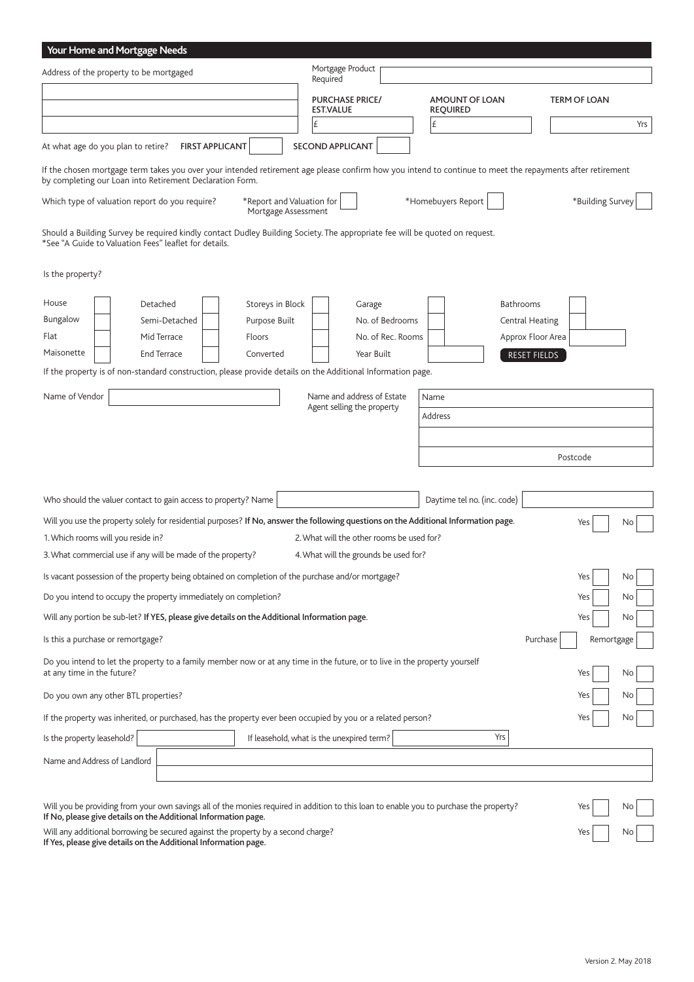| Your Home and Mortgage Needs                                                                                                                                                                                          |                        |                                                  |                                            |                   |                                   |                        |                  |            |
|-----------------------------------------------------------------------------------------------------------------------------------------------------------------------------------------------------------------------|------------------------|--------------------------------------------------|--------------------------------------------|-------------------|-----------------------------------|------------------------|------------------|------------|
| Address of the property to be mortgaged                                                                                                                                                                               |                        |                                                  | Mortgage Product<br>Required               |                   |                                   |                        |                  |            |
|                                                                                                                                                                                                                       |                        |                                                  | <b>PURCHASE PRICE/</b><br><b>EST.VALUE</b> |                   | AMOUNT OF LOAN<br><b>REQUIRED</b> |                        | TERM OF LOAN     |            |
|                                                                                                                                                                                                                       |                        | £                                                |                                            |                   | £                                 |                        |                  | Yrs        |
| At what age do you plan to retire?                                                                                                                                                                                    | <b>FIRST APPLICANT</b> |                                                  | <b>SECOND APPLICANT</b>                    |                   |                                   |                        |                  |            |
| If the chosen mortgage term takes you over your intended retirement age please confirm how you intend to continue to meet the repayments after retirement<br>by completing our Loan into Retirement Declaration Form. |                        |                                                  |                                            |                   |                                   |                        |                  |            |
| Which type of valuation report do you require?                                                                                                                                                                        |                        | *Report and Valuation for<br>Mortgage Assessment |                                            |                   | *Homebuyers Report                |                        | *Building Survey |            |
| Should a Building Survey be required kindly contact Dudley Building Society. The appropriate fee will be quoted on request.<br>*See "A Guide to Valuation Fees" leaflet for details.                                  |                        |                                                  |                                            |                   |                                   |                        |                  |            |
| Is the property?                                                                                                                                                                                                      |                        |                                                  |                                            |                   |                                   |                        |                  |            |
| House                                                                                                                                                                                                                 | Detached               | Storeys in Block                                 | Garage                                     |                   |                                   | Bathrooms              |                  |            |
| Bungalow                                                                                                                                                                                                              | Semi-Detached          | Purpose Built                                    |                                            | No. of Bedrooms   |                                   | <b>Central Heating</b> |                  |            |
| Flat                                                                                                                                                                                                                  | Mid Terrace            | Floors                                           |                                            | No. of Rec. Rooms |                                   | Approx Floor Area      |                  |            |
| Maisonette                                                                                                                                                                                                            | End Terrace            | Converted                                        | Year Built                                 |                   |                                   | RESET FIELDS           |                  |            |
| If the property is of non-standard construction, please provide details on the Additional Information page.                                                                                                           |                        |                                                  |                                            |                   |                                   |                        |                  |            |
| Name of Vendor                                                                                                                                                                                                        |                        |                                                  | Name and address of Estate                 |                   | Name                              |                        |                  |            |
|                                                                                                                                                                                                                       |                        |                                                  | Agent selling the property                 |                   | Address                           |                        |                  |            |
|                                                                                                                                                                                                                       |                        |                                                  |                                            |                   |                                   |                        |                  |            |
|                                                                                                                                                                                                                       |                        |                                                  |                                            |                   |                                   |                        | Postcode         |            |
|                                                                                                                                                                                                                       |                        |                                                  |                                            |                   |                                   |                        |                  |            |
| Who should the valuer contact to gain access to property? Name                                                                                                                                                        |                        |                                                  |                                            |                   | Daytime tel no. (inc. code)       |                        |                  |            |
| Will you use the property solely for residential purposes? If No, answer the following questions on the Additional Information page.                                                                                  |                        |                                                  |                                            |                   |                                   |                        | Yes              | No         |
| 1. Which rooms will you reside in?                                                                                                                                                                                    |                        |                                                  | 2. What will the other rooms be used for?  |                   |                                   |                        |                  |            |
| 3. What commercial use if any will be made of the property?                                                                                                                                                           |                        |                                                  | 4. What will the grounds be used for?      |                   |                                   |                        |                  |            |
| Is vacant possession of the property being obtained on completion of the purchase and/or mortgage?                                                                                                                    |                        |                                                  |                                            |                   |                                   |                        | Yes              | No         |
| Do you intend to occupy the property immediately on completion?                                                                                                                                                       |                        |                                                  |                                            |                   |                                   |                        | Yes              | No         |
| Will any portion be sub-let? If YES, please give details on the Additional Information page.                                                                                                                          |                        |                                                  |                                            |                   |                                   |                        | Yes              | No         |
| Is this a purchase or remortgage?                                                                                                                                                                                     |                        |                                                  |                                            |                   |                                   | Purchase               |                  | Remortgage |
| Do you intend to let the property to a family member now or at any time in the future, or to live in the property yourself<br>at any time in the future?                                                              |                        |                                                  |                                            |                   |                                   |                        | Yes              | No         |
| Do you own any other BTL properties?                                                                                                                                                                                  |                        |                                                  |                                            |                   |                                   |                        | Yes              | No         |
| If the property was inherited, or purchased, has the property ever been occupied by you or a related person?                                                                                                          |                        |                                                  |                                            |                   |                                   |                        | Yes              | No         |
| Is the property leasehold?                                                                                                                                                                                            |                        | If leasehold, what is the unexpired term?        |                                            |                   | Yrs                               |                        |                  |            |
| Name and Address of Landlord                                                                                                                                                                                          |                        |                                                  |                                            |                   |                                   |                        |                  |            |
|                                                                                                                                                                                                                       |                        |                                                  |                                            |                   |                                   |                        |                  |            |
|                                                                                                                                                                                                                       |                        |                                                  |                                            |                   |                                   |                        |                  |            |
| Will you be providing from your own savings all of the monies required in addition to this loan to enable you to purchase the property?<br>If No, please give details on the Additional Information page.             |                        |                                                  |                                            |                   |                                   |                        | Yes              | No         |
| Will any additional borrowing be secured against the property by a second charge?<br>If Yes, please give details on the Additional Information page.                                                                  |                        |                                                  |                                            |                   |                                   |                        | Yes              | No         |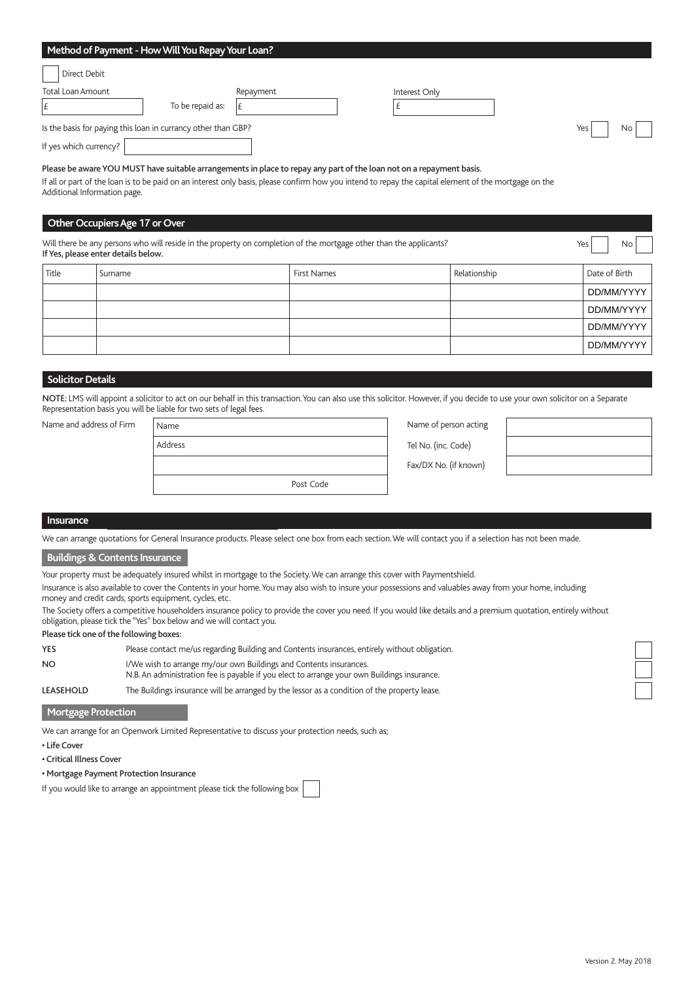## **Method of Payment - How Will You Repay Your Loan?**

| Direct Debit                                                  |                  |           |                                                                                                                                                                                                                                |                      |     |           |
|---------------------------------------------------------------|------------------|-----------|--------------------------------------------------------------------------------------------------------------------------------------------------------------------------------------------------------------------------------|----------------------|-----|-----------|
| Total Loan Amount                                             |                  | Repayment |                                                                                                                                                                                                                                | Interest Only        |     |           |
|                                                               | To be repaid as: |           |                                                                                                                                                                                                                                |                      |     |           |
| Is the basis for paying this loan in currancy other than GBP? |                  |           |                                                                                                                                                                                                                                |                      | Yes | <b>No</b> |
| If yes which currency?                                        |                  |           |                                                                                                                                                                                                                                |                      |     |           |
| $-1$ $-1$                                                     | $\cdots$         |           | the second contract of the second contract of the second contract of the second contract of the second contract of the second contract of the second contract of the second contract of the second contract of the second cont | $\sim$ $\sim$ $\sim$ |     |           |

Please be aware YOU MUST have suitable arrangements in place to repay any part of the loan not on a repayment basis. If all or part of the loan is to be paid on an interest only basis, please confirm how you intend to repay the capital element of the mortgage on the

Additional Information page.

## **Other Occupiers Age 17 or Over**

Will there be any persons who will reside in the property on completion of the mortgage other than the applicants? If Yes, please enter details below.

| $\sim$ $\sim$ $\sim$ |         |             |              |               |
|----------------------|---------|-------------|--------------|---------------|
| Title                | Surname | First Names | Relationship | Date of Birth |
|                      |         |             |              | DD/MM/YYYY    |
|                      |         |             |              | DD/MM/YYYY    |
|                      |         |             |              | DD/MM/YYYY    |
|                      |         |             |              | DD/MM/YYYY    |

## **Solicitor Details**

NOTE: LMS will appoint a solicitor to act on our behalf in this transaction. You can also use this solicitor. However, if you decide to use your own solicitor on a Separate Representation basis you will be liable for two sets of legal fees.

Name and address of Firm

| Name      | Name of person acting |
|-----------|-----------------------|
| Address   | Tel No. (inc. Code)   |
|           | Fax/DX No. (if known) |
| Post Code |                       |
|           |                       |

| indrie or person acting |  |
|-------------------------|--|
| Tel No. (inc. Code)     |  |
| Fax/DX No. (if known)   |  |



Yes No

### **Insurance**

We can arrange quotations for General Insurance products. Please select one box from each section. We will contact you if a selection has not been made.

#### **Buildings & Contents Insurance**

Your property must be adequately insured whilst in mortgage to the Society. We can arrange this cover with Paymentshield.

Insurance is also available to cover the Contents in your home. You may also wish to insure your possessions and valuables away from your home, including money and credit cards, sports equipment, cycles, etc.

The Society offers a competitive householders insurance policy to provide the cover you need. If you would like details and a premium quotation, entirely without obligation, please tick the "Yes" box below and we will contact you.

Please tick one of the following boxes:

| <b>YES</b> | Please contact me/us regarding Building and Contents insurances, entirely without obligation.                                                                     |
|------------|-------------------------------------------------------------------------------------------------------------------------------------------------------------------|
| <b>NO</b>  | I/We wish to arrange my/our own Buildings and Contents insurances.<br>N.B. An administration fee is payable if you elect to arrange your own Buildings insurance. |
| LEASEHOLD  | The Buildings insurance will be arranged by the lessor as a condition of the property lease.                                                                      |

## **Mortgage Protection**

We can arrange for an Openwork Limited Representative to discuss your protection needs, such as;

• Life Cover

• Critical Illness Cover

## • Mortgage Payment Protection Insurance

If you would like to arrange an appointment please tick the following box

ſ ſ  $\overline{\phantom{a}}$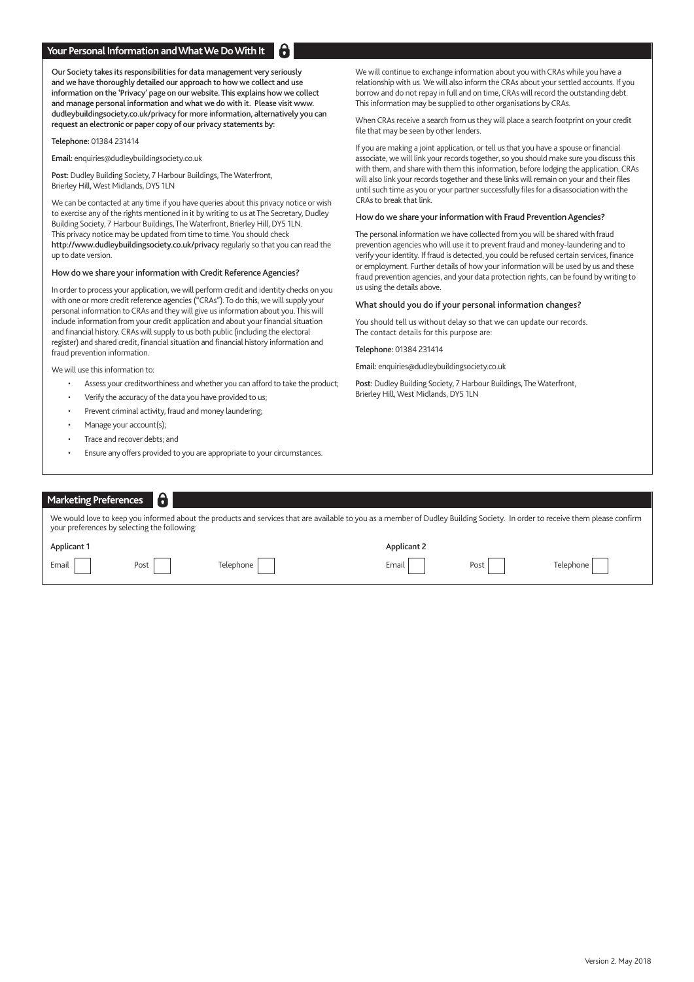### **Your Personal Information and What We Do With It**

Our Society takes its responsibilities for data management very seriously and we have thoroughly detailed our approach to how we collect and use information on the 'Privacy' page on our website. This explains how we collect and manage personal information and what we do with it. Please visit www. dudleybuildingsociety.co.uk/privacy for more information, alternatively you can request an electronic or paper copy of our privacy statements by:

Telephone: 01384 231414

Email: enquiries@dudleybuildingsociety.co.uk

Post: Dudley Building Society, 7 Harbour Buildings, The Waterfront, Brierley Hill, West Midlands, DY5 1LN

We can be contacted at any time if you have queries about this privacy notice or wish to exercise any of the rights mentioned in it by writing to us at The Secretary, Dudley Building Society, 7 Harbour Buildings, The Waterfront, Brierley Hill, DY5 1LN. This privacy notice may be updated from time to time. You should check http://www.dudleybuildingsociety.co.uk/privacy regularly so that you can read the up to date version.

#### How do we share your information with Credit Reference Agencies?

In order to process your application, we will perform credit and identity checks on you with one or more credit reference agencies ("CRAs"). To do this, we will supply your personal information to CRAs and they will give us information about you. This will include information from your credit application and about your financial situation and financial history. CRAs will supply to us both public (including the electoral register) and shared credit, financial situation and financial history information and fraud prevention information.

We will use this information to:

- Assess your creditworthiness and whether you can afford to take the product;
- Verify the accuracy of the data you have provided to us;
- Prevent criminal activity, fraud and money laundering;
- Manage your account(s);
- Trace and recover debts; and
- Ensure any offers provided to you are appropriate to your circumstances.

We will continue to exchange information about you with CRAs while you have a relationship with us. We will also inform the CRAs about your settled accounts. If you borrow and do not repay in full and on time, CRAs will record the outstanding debt. This information may be supplied to other organisations by CRAs.

When CRAs receive a search from us they will place a search footprint on your credit file that may be seen by other lenders.

If you are making a joint application, or tell us that you have a spouse or financial associate, we will link your records together, so you should make sure you discuss this with them, and share with them this information, before lodging the application. CRAs will also link your records together and these links will remain on your and their files until such time as you or your partner successfully files for a disassociation with the CRAs to break that link.

#### How do we share your information with Fraud Prevention Agencies?

The personal information we have collected from you will be shared with fraud prevention agencies who will use it to prevent fraud and money-laundering and to verify your identity. If fraud is detected, you could be refused certain services, finance or employment. Further details of how your information will be used by us and these fraud prevention agencies, and your data protection rights, can be found by writing to us using the details above.

#### What should you do if your personal information changes?

You should tell us without delay so that we can update our records. The contact details for this purpose are:

Telephone: 01384 231414

Email: enquiries@dudleybuildingsociety.co.uk

Post: Dudley Building Society, 7 Harbour Buildings, The Waterfront, Brierley Hill, West Midlands, DY5 1LN

| <b>Marketing Preferences</b>                                                                                                                                                                                                 |      |           |             |      |           |  |  |
|------------------------------------------------------------------------------------------------------------------------------------------------------------------------------------------------------------------------------|------|-----------|-------------|------|-----------|--|--|
| We would love to keep you informed about the products and services that are available to you as a member of Dudley Building Society. In order to receive them please confirm<br>your preferences by selecting the following: |      |           |             |      |           |  |  |
| Applicant 1                                                                                                                                                                                                                  |      |           | Applicant 2 |      |           |  |  |
| Email                                                                                                                                                                                                                        | Post | Telephone | Email       | Post | Telephone |  |  |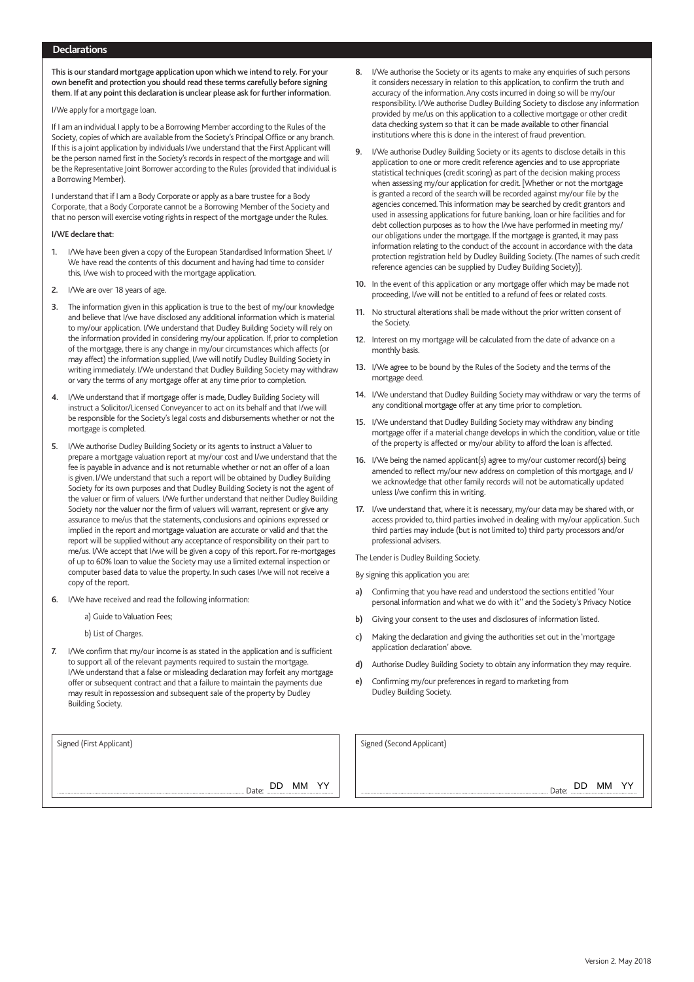## **Declarations**

This is our standard mortgage application upon which we intend to rely. For your own benefit and protection you should read these terms carefully before signing them. If at any point this declaration is unclear please ask for further information.

I/We apply for a mortgage loan.

If I am an individual I apply to be a Borrowing Member according to the Rules of the Society, copies of which are available from the Society's Principal Office or any branch. If this is a joint application by individuals I/we understand that the First Applicant will be the person named first in the Society's records in respect of the mortgage and will be the Representative Joint Borrower according to the Rules (provided that individual is a Borrowing Member).

I understand that if I am a Body Corporate or apply as a bare trustee for a Body Corporate, that a Body Corporate cannot be a Borrowing Member of the Society and that no person will exercise voting rights in respect of the mortgage under the Rules.

#### I/WE declare that:

- 1. I/We have been given a copy of the European Standardised Information Sheet. I/ We have read the contents of this document and having had time to consider this, I/we wish to proceed with the mortgage application.
- 2. I/We are over 18 years of age.
- 3. The information given in this application is true to the best of my/our knowledge and believe that I/we have disclosed any additional information which is material to my/our application. I/We understand that Dudley Building Society will rely on the information provided in considering my/our application. If, prior to completion of the mortgage, there is any change in my/our circumstances which affects (or may affect) the information supplied, I/we will notify Dudley Building Society in writing immediately. I/We understand that Dudley Building Society may withdraw or vary the terms of any mortgage offer at any time prior to completion.
- 4. I/We understand that if mortgage offer is made, Dudley Building Society will instruct a Solicitor/Licensed Conveyancer to act on its behalf and that I/we will be responsible for the Society's legal costs and disbursements whether or not the mortgage is completed.
- 5. I/We authorise Dudley Building Society or its agents to instruct a Valuer to prepare a mortgage valuation report at my/our cost and I/we understand that the fee is payable in advance and is not returnable whether or not an offer of a loan is given. I/We understand that such a report will be obtained by Dudley Building Society for its own purposes and that Dudley Building Society is not the agent of the valuer or firm of valuers. I/We further understand that neither Dudley Building Society nor the valuer nor the firm of valuers will warrant, represent or give any assurance to me/us that the statements, conclusions and opinions expressed or implied in the report and mortgage valuation are accurate or valid and that the report will be supplied without any acceptance of responsibility on their part to me/us. I/We accept that I/we will be given a copy of this report. For re-mortgages of up to 60% loan to value the Society may use a limited external inspection or computer based data to value the property. In such cases I/we will not receive a copy of the report.
- 6. I/We have received and read the following information:
	- a) Guide to Valuation Fees;
	- b) List of Charges.
- 7. I/We confirm that my/our income is as stated in the application and is sufficient to support all of the relevant payments required to sustain the mortgage. I/We understand that a false or misleading declaration may forfeit any mortgage offer or subsequent contract and that a failure to maintain the payments due may result in repossession and subsequent sale of the property by Dudley Building Society.

DD MM YY

- I/We authorise the Society or its agents to make any enquiries of such persons it considers necessary in relation to this application, to confirm the truth and accuracy of the information. Any costs incurred in doing so will be my/our responsibility. I/We authorise Dudley Building Society to disclose any information provided by me/us on this application to a collective mortgage or other credit data checking system so that it can be made available to other financial institutions where this is done in the interest of fraud prevention.
- 9. I/We authorise Dudley Building Society or its agents to disclose details in this application to one or more credit reference agencies and to use appropriate statistical techniques (credit scoring) as part of the decision making process when assessing my/our application for credit. [Whether or not the mortgage is granted a record of the search will be recorded against my/our file by the agencies concerned. This information may be searched by credit grantors and used in assessing applications for future banking, loan or hire facilities and for debt collection purposes as to how the I/we have performed in meeting my/ our obligations under the mortgage. If the mortgage is granted, it may pass information relating to the conduct of the account in accordance with the data protection registration held by Dudley Building Society. (The names of such credit reference agencies can be supplied by Dudley Building Society)].
- 10. In the event of this application or any mortgage offer which may be made not proceeding, I/we will not be entitled to a refund of fees or related costs.
- 11. No structural alterations shall be made without the prior written consent of the Society.
- 12. Interest on my mortgage will be calculated from the date of advance on a monthly basis.
- 13. I/We agree to be bound by the Rules of the Society and the terms of the mortgage deed.
- 14. I/We understand that Dudley Building Society may withdraw or vary the terms of any conditional mortgage offer at any time prior to completion.
- 15. I/We understand that Dudley Building Society may withdraw any binding mortgage offer if a material change develops in which the condition, value or title of the property is affected or my/our ability to afford the loan is affected.
- 16. I/We being the named applicant(s) agree to my/our customer record(s) being amended to reflect my/our new address on completion of this mortgage, and I/ we acknowledge that other family records will not be automatically updated unless I/we confirm this in writing.
- 17. I/we understand that, where it is necessary, my/our data may be shared with, or access provided to, third parties involved in dealing with my/our application. Such third parties may include (but is not limited to) third party processors and/or professional advisers.

The Lender is Dudley Building Society.

By signing this application you are:

- Confirming that you have read and understood the sections entitled 'Your personal information and what we do with it'' and the Society's Privacy Notice
- b) Giving your consent to the uses and disclosures of information listed.
- c) Making the declaration and giving the authorities set out in the 'mortgage application declaration' above.
- d) Authorise Dudley Building Society to obtain any information they may require.
- e) Confirming my/our preferences in regard to marketing from Dudley Building Society.

Signed (First Applicant) Signed (Second Applicant)

Date: DD MM YY